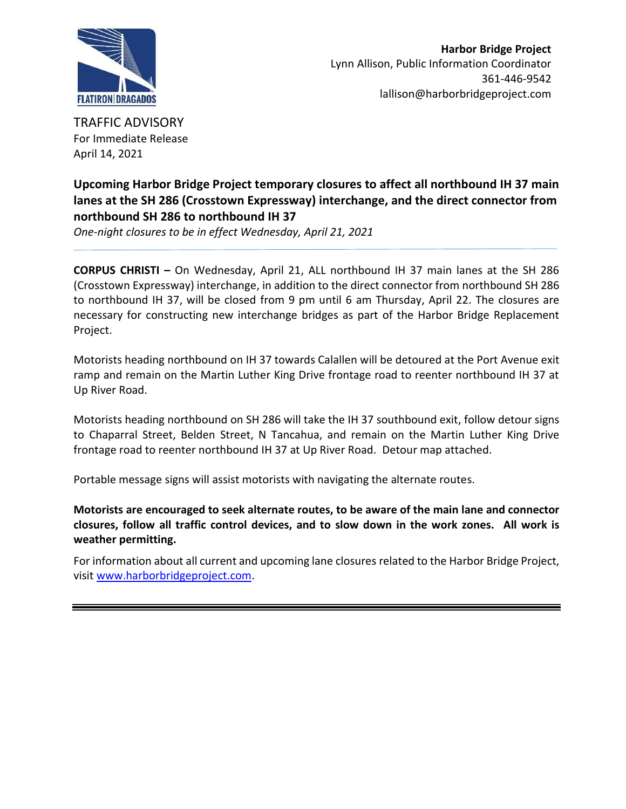

TRAFFIC ADVISORY For Immediate Release April 14, 2021

## **Upcoming Harbor Bridge Project temporary closures to affect all northbound IH 37 main lanes at the SH 286 (Crosstown Expressway) interchange, and the direct connector from northbound SH 286 to northbound IH 37**

*One-night closures to be in effect Wednesday, April 21, 2021*

**CORPUS CHRISTI –** On Wednesday, April 21, ALL northbound IH 37 main lanes at the SH 286 (Crosstown Expressway) interchange, in addition to the direct connector from northbound SH 286 to northbound IH 37, will be closed from 9 pm until 6 am Thursday, April 22. The closures are necessary for constructing new interchange bridges as part of the Harbor Bridge Replacement Project.

Motorists heading northbound on IH 37 towards Calallen will be detoured at the Port Avenue exit ramp and remain on the Martin Luther King Drive frontage road to reenter northbound IH 37 at Up River Road.

Motorists heading northbound on SH 286 will take the IH 37 southbound exit, follow detour signs to Chaparral Street, Belden Street, N Tancahua, and remain on the Martin Luther King Drive frontage road to reenter northbound IH 37 at Up River Road. Detour map attached.

Portable message signs will assist motorists with navigating the alternate routes.

**Motorists are encouraged to seek alternate routes, to be aware of the main lane and connector closures, follow all traffic control devices, and to slow down in the work zones. All work is weather permitting.** 

For information about all current and upcoming lane closures related to the Harbor Bridge Project, visit [www.harborbridgeproject.com.](http://www.harborbridgeproject.com/)